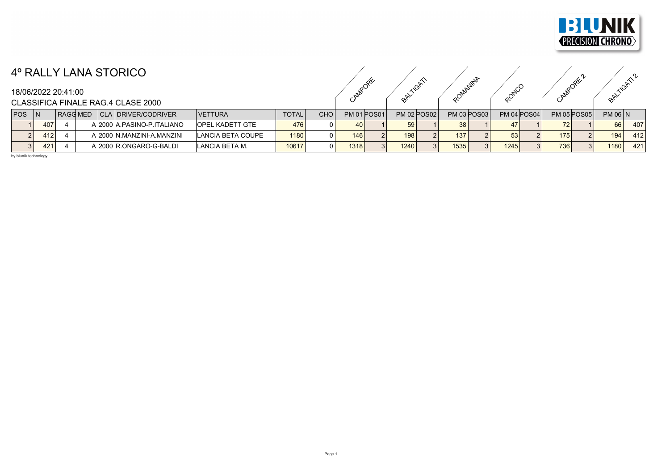

## 4º RALLY LANA STORICO

|  | CAMPORE | $\sim$<br>BALTIGAT | ROMANINIA | RONCO | CANADDREC' | TIGATI -<br>BALL |  |
|--|---------|--------------------|-----------|-------|------------|------------------|--|

| BALLYCATI2 |  |
|------------|--|
|            |  |
|            |  |
|            |  |

## CLASSIFICA FINALE RAG 4 CLASE 2000

| <b>POS</b> |     | RAGG MED. |  | CLA   DRIVER/CODRIVER       | <b>VETTURA</b>         | <b>TOTAL</b> | CHO | <b>PM 01 POS01</b> |  | <b>PM 02 POS02</b> | <b>PM 03 POS03</b> |  | <b>PM 04 POS04</b> |  | <b>PM 05 POS05</b> |          | $PM$ 06 $N$ |     |
|------------|-----|-----------|--|-----------------------------|------------------------|--------------|-----|--------------------|--|--------------------|--------------------|--|--------------------|--|--------------------|----------|-------------|-----|
|            | 407 |           |  | A 2000 A PASINO-P ITALIANO  | <b>OPEL KADETT GTE</b> | 476          |     | 40                 |  |                    |                    |  |                    |  |                    |          | 66          | 407 |
| າເ         | 412 |           |  | A 2000 IN MANZINI-A MANZINI | LANCIA BETA COUPE      | 1180         |     | 146                |  | 198                | 137                |  |                    |  | 175.               |          | 194         | 412 |
|            | 421 |           |  | A 2000 R.ONGARO-G-BALDI     | ILANCIA BETA M.        | 10617        |     | 1318               |  | 1240               | 1535 <sub>1</sub>  |  | 1245               |  | 736                | $\Omega$ | 1180        | 421 |

by blunik technology

18/06/2022 20:41:00